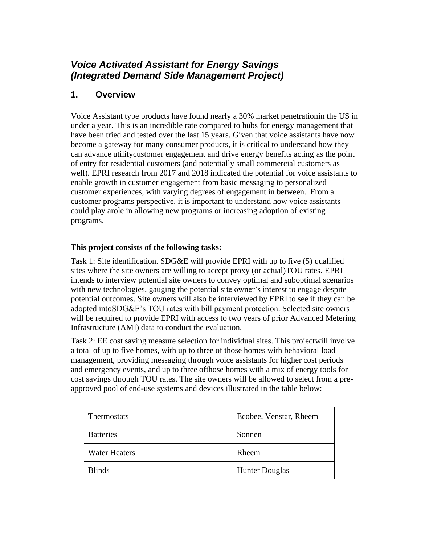# *Voice Activated Assistant for Energy Savings (Integrated Demand Side Management Project)*

## **1. Overview**

Voice Assistant type products have found nearly a 30% market penetrationin the US in under a year. This is an incredible rate compared to hubs for energy management that have been tried and tested over the last 15 years. Given that voice assistants have now become a gateway for many consumer products, it is critical to understand how they can advance utilitycustomer engagement and drive energy benefits acting as the point of entry for residential customers (and potentially small commercial customers as well). EPRI research from 2017 and 2018 indicated the potential for voice assistants to enable growth in customer engagement from basic messaging to personalized customer experiences, with varying degrees of engagement in between. From a customer programs perspective, it is important to understand how voice assistants could play arole in allowing new programs or increasing adoption of existing programs.

#### **This project consists of the following tasks:**

Task 1: Site identification. SDG&E will provide EPRI with up to five (5) qualified sites where the site owners are willing to accept proxy (or actual)TOU rates. EPRI intends to interview potential site owners to convey optimal and suboptimal scenarios with new technologies, gauging the potential site owner's interest to engage despite potential outcomes. Site owners will also be interviewed by EPRI to see if they can be adopted intoSDG&E's TOU rates with bill payment protection. Selected site owners will be required to provide EPRI with access to two years of prior Advanced Metering Infrastructure (AMI) data to conduct the evaluation.

Task 2: EE cost saving measure selection for individual sites. This projectwill involve a total of up to five homes, with up to three of those homes with behavioral load management, providing messaging through voice assistants for higher cost periods and emergency events, and up to three ofthose homes with a mix of energy tools for cost savings through TOU rates. The site owners will be allowed to select from a preapproved pool of end-use systems and devices illustrated in the table below:

| Thermostats          | Ecobee, Venstar, Rheem |
|----------------------|------------------------|
| <b>Batteries</b>     | Sonnen                 |
| <b>Water Heaters</b> | Rheem                  |
| <b>Blinds</b>        | <b>Hunter Douglas</b>  |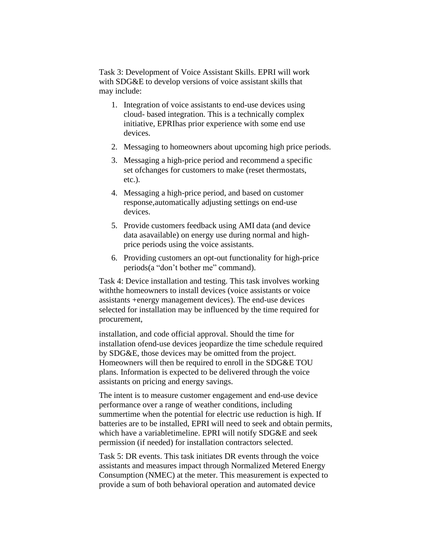Task 3: Development of Voice Assistant Skills. EPRI will work with SDG&E to develop versions of voice assistant skills that may include:

- 1. Integration of voice assistants to end-use devices using cloud- based integration. This is a technically complex initiative, EPRIhas prior experience with some end use devices.
- 2. Messaging to homeowners about upcoming high price periods.
- 3. Messaging a high-price period and recommend a specific set ofchanges for customers to make (reset thermostats, etc.).
- 4. Messaging a high-price period, and based on customer response,automatically adjusting settings on end-use devices.
- 5. Provide customers feedback using AMI data (and device data asavailable) on energy use during normal and highprice periods using the voice assistants.
- 6. Providing customers an opt-out functionality for high-price periods(a "don't bother me" command).

Task 4: Device installation and testing. This task involves working withthe homeowners to install devices (voice assistants or voice assistants +energy management devices). The end-use devices selected for installation may be influenced by the time required for procurement,

installation, and code official approval. Should the time for installation ofend-use devices jeopardize the time schedule required by SDG&E, those devices may be omitted from the project. Homeowners will then be required to enroll in the SDG&E TOU plans. Information is expected to be delivered through the voice assistants on pricing and energy savings.

The intent is to measure customer engagement and end-use device performance over a range of weather conditions, including summertime when the potential for electric use reduction is high. If batteries are to be installed, EPRI will need to seek and obtain permits, which have a variabletimeline. EPRI will notify SDG&E and seek permission (if needed) for installation contractors selected.

Task 5: DR events. This task initiates DR events through the voice assistants and measures impact through Normalized Metered Energy Consumption (NMEC) at the meter. This measurement is expected to provide a sum of both behavioral operation and automated device